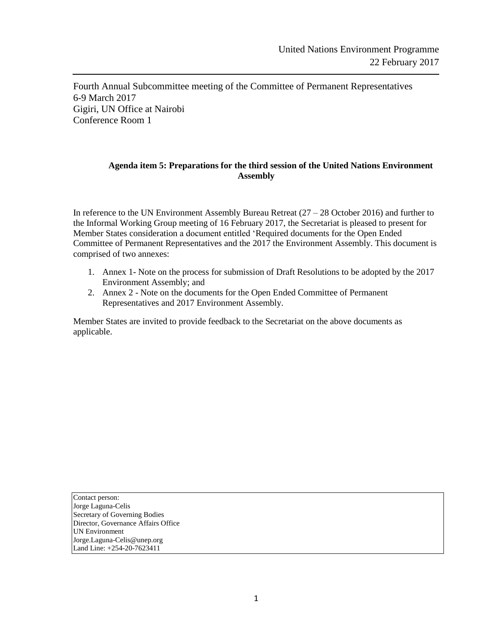Fourth Annual Subcommittee meeting of the Committee of Permanent Representatives 6-9 March 2017 Gigiri, UN Office at Nairobi Conference Room 1

#### **Agenda item 5: Preparations for the third session of the United Nations Environment Assembly**

In reference to the UN Environment Assembly Bureau Retreat  $(27 – 28$  October 2016) and further to the Informal Working Group meeting of 16 February 2017, the Secretariat is pleased to present for Member States consideration a document entitled 'Required documents for the Open Ended Committee of Permanent Representatives and the 2017 the Environment Assembly. This document is comprised of two annexes:

- 1. Annex 1- Note on the process for submission of Draft Resolutions to be adopted by the 2017 Environment Assembly; and
- 2. Annex 2 Note on the documents for the Open Ended Committee of Permanent Representatives and 2017 Environment Assembly.

Member States are invited to provide feedback to the Secretariat on the above documents as applicable.

Contact person: Jorge Laguna-Celis Secretary of Governing Bodies Director, Governance Affairs Office UN Environment Jorge.Laguna-Celis@unep.org Land Line: +254-20-7623411

j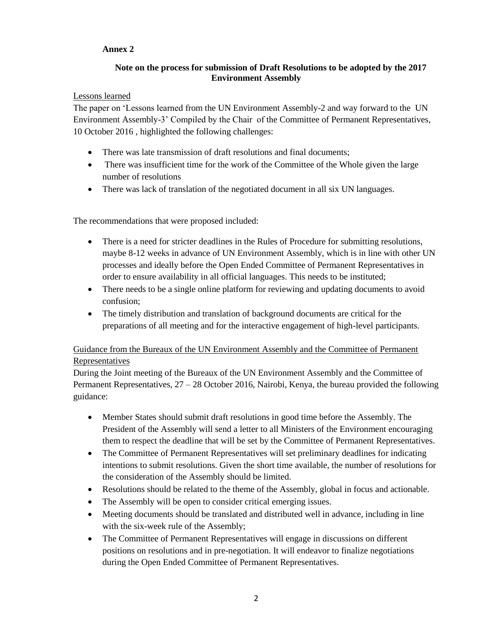# **Annex 2**

## **Note on the process for submission of Draft Resolutions to be adopted by the 2017 Environment Assembly**

### Lessons learned

The paper on 'Lessons learned from the UN Environment Assembly-2 and way forward to the UN Environment Assembly-3' Compiled by the Chair of the Committee of Permanent Representatives, 10 October 2016 , highlighted the following challenges:

- There was late transmission of draft resolutions and final documents;
- There was insufficient time for the work of the Committee of the Whole given the large number of resolutions
- There was lack of translation of the negotiated document in all six UN languages.

The recommendations that were proposed included:

- There is a need for stricter deadlines in the Rules of Procedure for submitting resolutions, maybe 8-12 weeks in advance of UN Environment Assembly, which is in line with other UN processes and ideally before the Open Ended Committee of Permanent Representatives in order to ensure availability in all official languages. This needs to be instituted;
- There needs to be a single online platform for reviewing and updating documents to avoid confusion;
- The timely distribution and translation of background documents are critical for the preparations of all meeting and for the interactive engagement of high-level participants.

# Guidance from the Bureaux of the UN Environment Assembly and the Committee of Permanent **Representatives**

During the Joint meeting of the Bureaux of the UN Environment Assembly and the Committee of Permanent Representatives, 27 – 28 October 2016, Nairobi, Kenya, the bureau provided the following guidance:

- Member States should submit draft resolutions in good time before the Assembly. The President of the Assembly will send a letter to all Ministers of the Environment encouraging them to respect the deadline that will be set by the Committee of Permanent Representatives.
- The Committee of Permanent Representatives will set preliminary deadlines for indicating intentions to submit resolutions. Given the short time available, the number of resolutions for the consideration of the Assembly should be limited.
- Resolutions should be related to the theme of the Assembly, global in focus and actionable.
- The Assembly will be open to consider critical emerging issues.
- Meeting documents should be translated and distributed well in advance, including in line with the six-week rule of the Assembly;
- The Committee of Permanent Representatives will engage in discussions on different positions on resolutions and in pre-negotiation. It will endeavor to finalize negotiations during the Open Ended Committee of Permanent Representatives.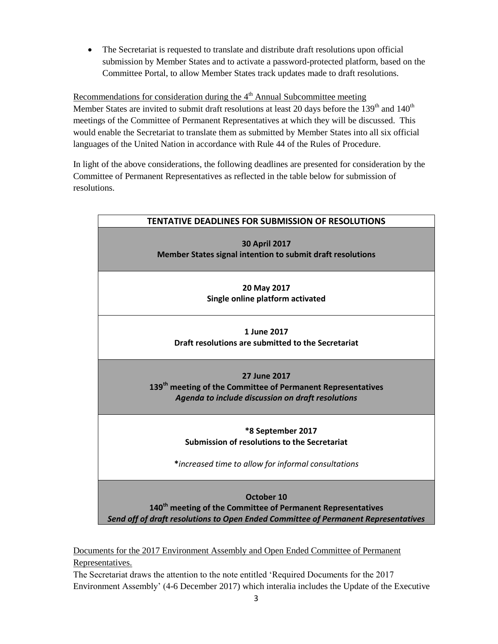The Secretariat is requested to translate and distribute draft resolutions upon official submission by Member States and to activate a password-protected platform, based on the Committee Portal, to allow Member States track updates made to draft resolutions.

Recommendations for consideration during the  $4<sup>th</sup>$  Annual Subcommittee meeting Member States are invited to submit draft resolutions at least 20 days before the  $139<sup>th</sup>$  and  $140<sup>th</sup>$ meetings of the Committee of Permanent Representatives at which they will be discussed. This would enable the Secretariat to translate them as submitted by Member States into all six official languages of the United Nation in accordance with Rule 44 of the Rules of Procedure.

In light of the above considerations, the following deadlines are presented for consideration by the Committee of Permanent Representatives as reflected in the table below for submission of resolutions.

| <b>TENTATIVE DEADLINES FOR SUBMISSION OF RESOLUTIONS</b>                                                                                                                    |
|-----------------------------------------------------------------------------------------------------------------------------------------------------------------------------|
| <b>30 April 2017</b><br>Member States signal intention to submit draft resolutions                                                                                          |
| 20 May 2017<br>Single online platform activated                                                                                                                             |
| 1 June 2017<br>Draft resolutions are submitted to the Secretariat                                                                                                           |
| 27 June 2017<br>139 <sup>th</sup> meeting of the Committee of Permanent Representatives<br>Agenda to include discussion on draft resolutions                                |
| *8 September 2017<br>Submission of resolutions to the Secretariat<br>*increased time to allow for informal consultations                                                    |
| October 10<br>140 <sup>th</sup> meeting of the Committee of Permanent Representatives<br>Send off of draft resolutions to Open Ended Committee of Permanent Representatives |

Documents for the 2017 Environment Assembly and Open Ended Committee of Permanent Representatives.

The Secretariat draws the attention to the note entitled 'Required Documents for the 2017 Environment Assembly' (4-6 December 2017) which interalia includes the Update of the Executive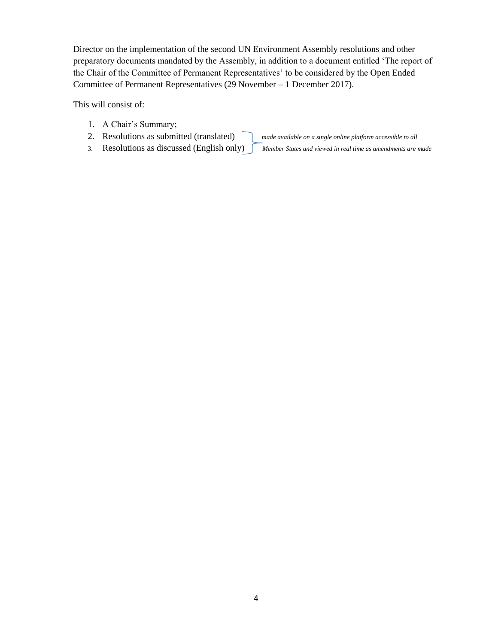Director on the implementation of the second UN Environment Assembly resolutions and other preparatory documents mandated by the Assembly, in addition to a document entitled 'The report of the Chair of the Committee of Permanent Representatives' to be considered by the Open Ended Committee of Permanent Representatives (29 November – 1 December 2017).

This will consist of:

- 1. A Chair's Summary;
- 2. Resolutions as submitted (translated) *made available on a single online platform accessible to all*

- 3. Resolutions as discussed (English only) *Member States and viewed in real time as amendments are made*
	-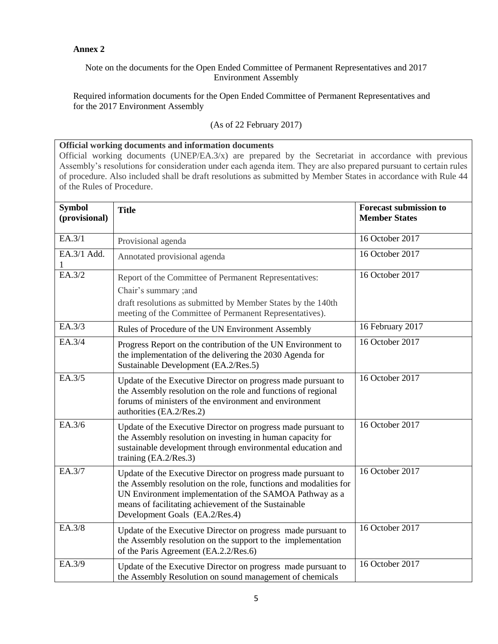### **Annex 2**

### Note on the documents for the Open Ended Committee of Permanent Representatives and 2017 Environment Assembly

Required information documents for the Open Ended Committee of Permanent Representatives and for the 2017 Environment Assembly

### (As of 22 February 2017)

#### **Official working documents and information documents**

Official working documents (UNEP/EA.3/x) are prepared by the Secretariat in accordance with previous Assembly's resolutions for consideration under each agenda item. They are also prepared pursuant to certain rules of procedure. Also included shall be draft resolutions as submitted by Member States in accordance with Rule 44 of the Rules of Procedure.

| <b>Symbol</b><br>(provisional) | <b>Title</b>                                                                                                                                                                                                                                                                            | <b>Forecast submission to</b><br><b>Member States</b> |
|--------------------------------|-----------------------------------------------------------------------------------------------------------------------------------------------------------------------------------------------------------------------------------------------------------------------------------------|-------------------------------------------------------|
| EA.3/1                         | Provisional agenda                                                                                                                                                                                                                                                                      | 16 October 2017                                       |
| EA.3/1 Add.<br>1               | Annotated provisional agenda                                                                                                                                                                                                                                                            | 16 October 2017                                       |
| EA.3/2                         | Report of the Committee of Permanent Representatives:<br>Chair's summary ;and<br>draft resolutions as submitted by Member States by the 140th                                                                                                                                           | 16 October 2017                                       |
|                                | meeting of the Committee of Permanent Representatives).                                                                                                                                                                                                                                 |                                                       |
| EA.3/3                         | Rules of Procedure of the UN Environment Assembly                                                                                                                                                                                                                                       | 16 February 2017                                      |
| EA.3/4                         | Progress Report on the contribution of the UN Environment to<br>the implementation of the delivering the 2030 Agenda for<br>Sustainable Development (EA.2/Res.5)                                                                                                                        | 16 October 2017                                       |
| EA.3/5                         | Update of the Executive Director on progress made pursuant to<br>the Assembly resolution on the role and functions of regional<br>forums of ministers of the environment and environment<br>authorities (EA.2/Res.2)                                                                    | 16 October 2017                                       |
| EA.3/6                         | Update of the Executive Director on progress made pursuant to<br>the Assembly resolution on investing in human capacity for<br>sustainable development through environmental education and<br>training (EA.2/Res.3)                                                                     | 16 October 2017                                       |
| EA.3/7                         | Update of the Executive Director on progress made pursuant to<br>the Assembly resolution on the role, functions and modalities for<br>UN Environment implementation of the SAMOA Pathway as a<br>means of facilitating achievement of the Sustainable<br>Development Goals (EA.2/Res.4) | 16 October 2017                                       |
| EA.3/8                         | Update of the Executive Director on progress made pursuant to<br>the Assembly resolution on the support to the implementation<br>of the Paris Agreement (EA.2.2/Res.6)                                                                                                                  | 16 October 2017                                       |
| EA.3/9                         | Update of the Executive Director on progress made pursuant to<br>the Assembly Resolution on sound management of chemicals                                                                                                                                                               | 16 October 2017                                       |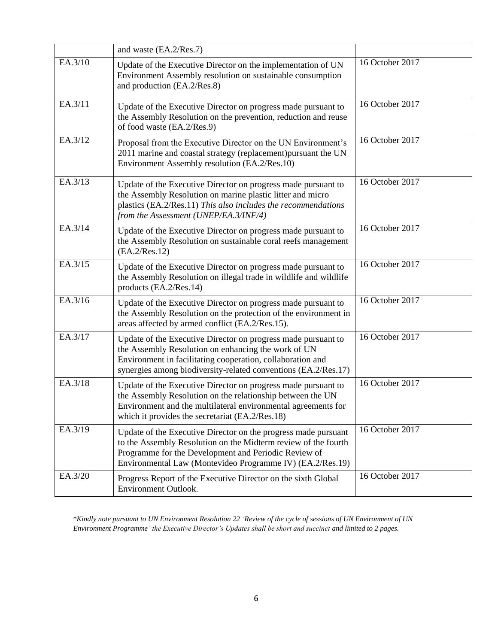|         | and waste (EA.2/Res.7)                                                                                                                                                                                                                                |                 |
|---------|-------------------------------------------------------------------------------------------------------------------------------------------------------------------------------------------------------------------------------------------------------|-----------------|
| EA.3/10 | Update of the Executive Director on the implementation of UN<br>Environment Assembly resolution on sustainable consumption<br>and production (EA.2/Res.8)                                                                                             | 16 October 2017 |
| EA.3/11 | Update of the Executive Director on progress made pursuant to<br>the Assembly Resolution on the prevention, reduction and reuse<br>of food waste (EA.2/Res.9)                                                                                         | 16 October 2017 |
| EA.3/12 | Proposal from the Executive Director on the UN Environment's<br>2011 marine and coastal strategy (replacement)pursuant the UN<br>Environment Assembly resolution (EA.2/Res.10)                                                                        | 16 October 2017 |
| EA.3/13 | Update of the Executive Director on progress made pursuant to<br>the Assembly Resolution on marine plastic litter and micro<br>plastics (EA.2/Res.11) This also includes the recommendations<br>from the Assessment (UNEP/EA.3/INF/4)                 | 16 October 2017 |
| EA.3/14 | Update of the Executive Director on progress made pursuant to<br>the Assembly Resolution on sustainable coral reefs management<br>(EA.2/Res.12)                                                                                                       | 16 October 2017 |
| EA.3/15 | Update of the Executive Director on progress made pursuant to<br>the Assembly Resolution on illegal trade in wildlife and wildlife<br>products (EA.2/Res.14)                                                                                          | 16 October 2017 |
| EA.3/16 | Update of the Executive Director on progress made pursuant to<br>the Assembly Resolution on the protection of the environment in<br>areas affected by armed conflict (EA.2/Res.15).                                                                   | 16 October 2017 |
| EA.3/17 | Update of the Executive Director on progress made pursuant to<br>the Assembly Resolution on enhancing the work of UN<br>Environment in facilitating cooperation, collaboration and<br>synergies among biodiversity-related conventions (EA.2/Res.17)  | 16 October 2017 |
| EA.3/18 | Update of the Executive Director on progress made pursuant to<br>the Assembly Resolution on the relationship between the UN<br>Environment and the multilateral environmental agreements for<br>which it provides the secretariat (EA.2/Res.18)       | 16 October 2017 |
| EA.3/19 | Update of the Executive Director on the progress made pursuant<br>to the Assembly Resolution on the Midterm review of the fourth<br>Programme for the Development and Periodic Review of<br>Environmental Law (Montevideo Programme IV) (EA.2/Res.19) | 16 October 2017 |
| EA.3/20 | Progress Report of the Executive Director on the sixth Global<br>Environment Outlook.                                                                                                                                                                 | 16 October 2017 |

\**Kindly note pursuant to UN Environment Resolution 22 'Review of the cycle of sessions of UN Environment of UN Environment Programme' the Executive Director's Updates shall be short and succinct and limited to 2 pages.*